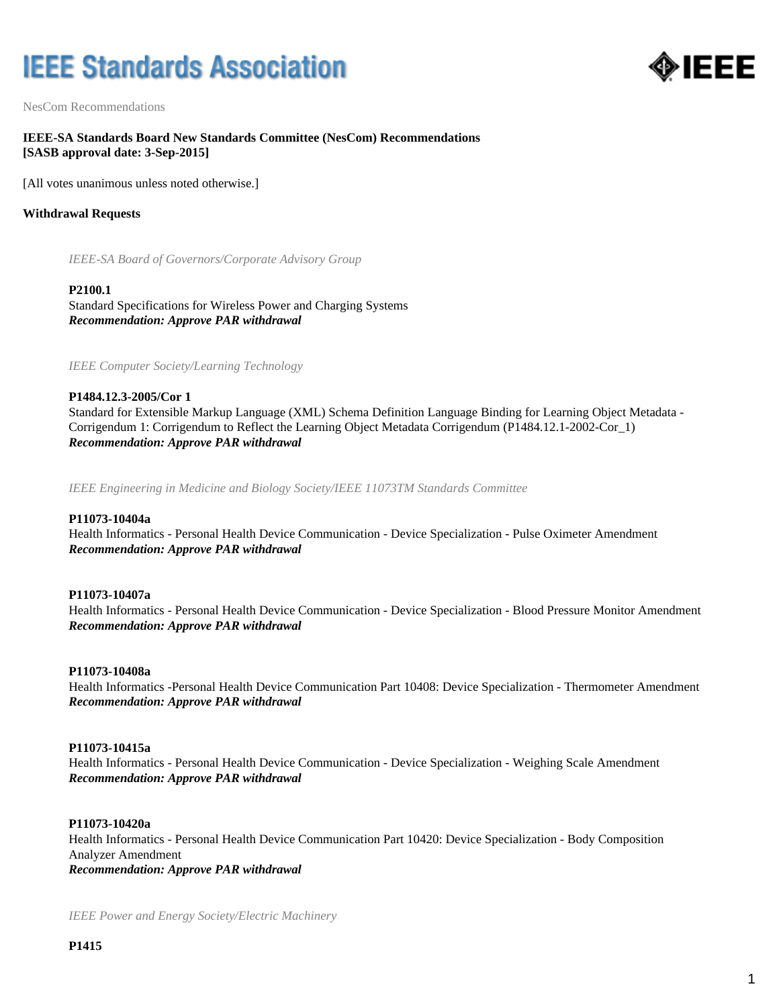# **IEEE Standards Association**



NesCom Recommendations

## **IEEE-SA Standards Board New Standards Committee (NesCom) Recommendations [SASB approval date: 3-Sep-2015]**

[All votes unanimous unless noted otherwise.]

## **Withdrawal Requests**

*IEEE-SA Board of Governors/Corporate Advisory Group*

#### **P2100.1**

Standard Specifications for Wireless Power and Charging Systems *Recommendation: Approve PAR withdrawal*

*IEEE Computer Society/Learning Technology*

## **P1484.12.3-2005/Cor 1**

Standard for Extensible Markup Language (XML) Schema Definition Language Binding for Learning Object Metadata - Corrigendum 1: Corrigendum to Reflect the Learning Object Metadata Corrigendum (P1484.12.1-2002-Cor\_1) *Recommendation: Approve PAR withdrawal*

*IEEE Engineering in Medicine and Biology Society/IEEE 11073TM Standards Committee*

## **P11073-10404a**

Health Informatics - Personal Health Device Communication - Device Specialization - Pulse Oximeter Amendment *Recommendation: Approve PAR withdrawal*

## **P11073-10407a**

Health Informatics - Personal Health Device Communication - Device Specialization - Blood Pressure Monitor Amendment *Recommendation: Approve PAR withdrawal*

## **P11073-10408a**

Health Informatics -Personal Health Device Communication Part 10408: Device Specialization - Thermometer Amendment *Recommendation: Approve PAR withdrawal*

## **P11073-10415a**

Health Informatics - Personal Health Device Communication - Device Specialization - Weighing Scale Amendment *Recommendation: Approve PAR withdrawal*

#### **P11073-10420a**

Health Informatics - Personal Health Device Communication Part 10420: Device Specialization - Body Composition Analyzer Amendment *Recommendation: Approve PAR withdrawal*

*IEEE Power and Energy Society/Electric Machinery*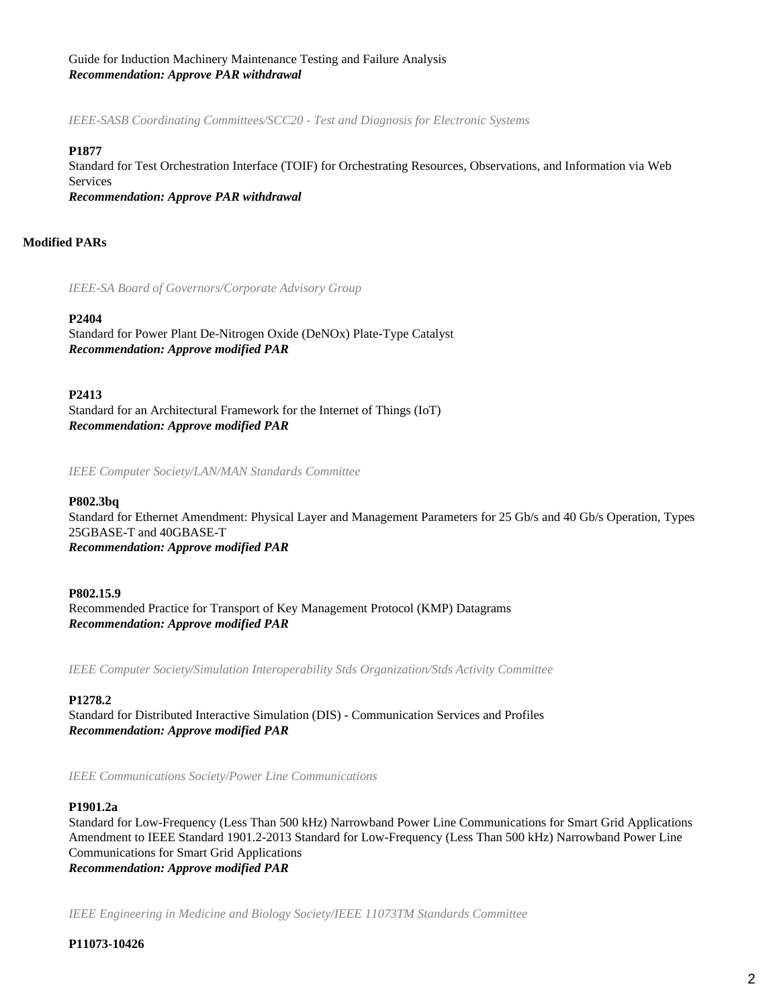## Guide for Induction Machinery Maintenance Testing and Failure Analysis *Recommendation: Approve PAR withdrawal*

*IEEE-SASB Coordinating Committees/SCC20 - Test and Diagnosis for Electronic Systems*

## **P1877**

Standard for Test Orchestration Interface (TOIF) for Orchestrating Resources, Observations, and Information via Web Services

*Recommendation: Approve PAR withdrawal*

## **Modified PARs**

*IEEE-SA Board of Governors/Corporate Advisory Group*

## **P2404**

Standard for Power Plant De-Nitrogen Oxide (DeNOx) Plate-Type Catalyst *Recommendation: Approve modified PAR*

## **P2413**

Standard for an Architectural Framework for the Internet of Things (IoT) *Recommendation: Approve modified PAR*

*IEEE Computer Society/LAN/MAN Standards Committee*

#### **P802.3bq**

Standard for Ethernet Amendment: Physical Layer and Management Parameters for 25 Gb/s and 40 Gb/s Operation, Types 25GBASE-T and 40GBASE-T *Recommendation: Approve modified PAR*

**P802.15.9** Recommended Practice for Transport of Key Management Protocol (KMP) Datagrams *Recommendation: Approve modified PAR*

*IEEE Computer Society/Simulation Interoperability Stds Organization/Stds Activity Committee*

#### **P1278.2**

Standard for Distributed Interactive Simulation (DIS) - Communication Services and Profiles *Recommendation: Approve modified PAR*

*IEEE Communications Society/Power Line Communications*

#### **P1901.2a**

Standard for Low-Frequency (Less Than 500 kHz) Narrowband Power Line Communications for Smart Grid Applications Amendment to IEEE Standard 1901.2-2013 Standard for Low-Frequency (Less Than 500 kHz) Narrowband Power Line Communications for Smart Grid Applications *Recommendation: Approve modified PAR*

*IEEE Engineering in Medicine and Biology Society/IEEE 11073TM Standards Committee*

## **P11073-10426**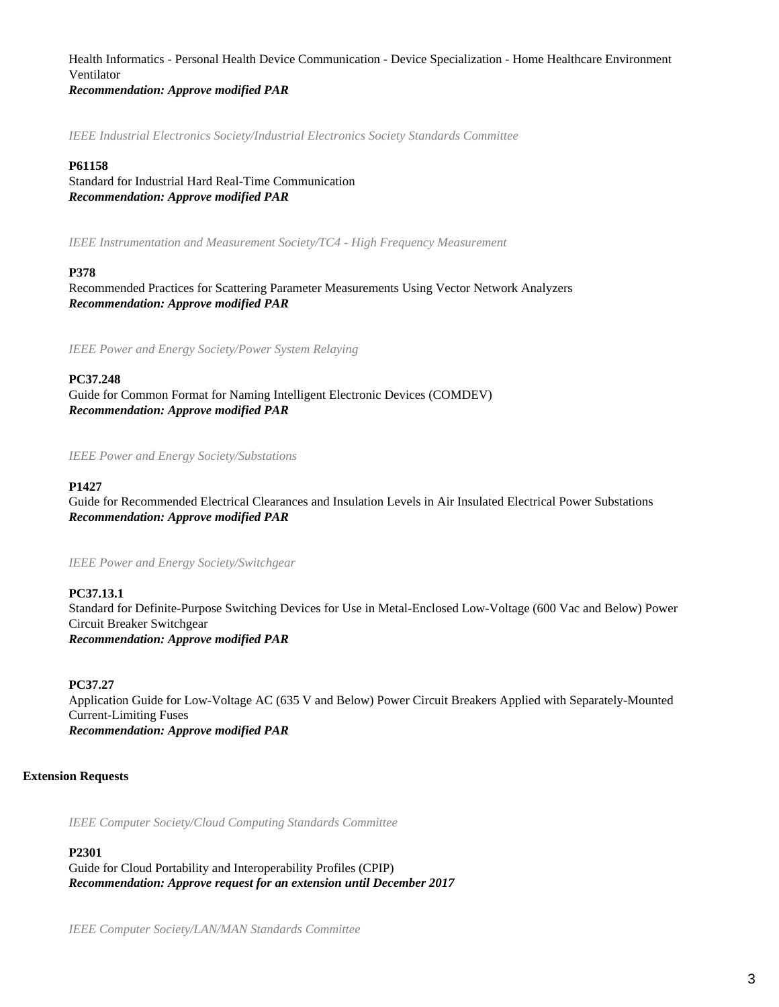Health Informatics - Personal Health Device Communication - Device Specialization - Home Healthcare Environment Ventilator

*Recommendation: Approve modified PAR*

*IEEE Industrial Electronics Society/Industrial Electronics Society Standards Committee*

#### **P61158**

Standard for Industrial Hard Real-Time Communication *Recommendation: Approve modified PAR*

*IEEE Instrumentation and Measurement Society/TC4 - High Frequency Measurement*

## **P378**

Recommended Practices for Scattering Parameter Measurements Using Vector Network Analyzers *Recommendation: Approve modified PAR*

*IEEE Power and Energy Society/Power System Relaying*

## **PC37.248**

Guide for Common Format for Naming Intelligent Electronic Devices (COMDEV) *Recommendation: Approve modified PAR*

*IEEE Power and Energy Society/Substations*

## **P1427**

Guide for Recommended Electrical Clearances and Insulation Levels in Air Insulated Electrical Power Substations *Recommendation: Approve modified PAR*

*IEEE Power and Energy Society/Switchgear*

## **PC37.13.1**

Standard for Definite-Purpose Switching Devices for Use in Metal-Enclosed Low-Voltage (600 Vac and Below) Power Circuit Breaker Switchgear *Recommendation: Approve modified PAR*

## **PC37.27**

Application Guide for Low-Voltage AC (635 V and Below) Power Circuit Breakers Applied with Separately-Mounted Current-Limiting Fuses *Recommendation: Approve modified PAR*

## **Extension Requests**

*IEEE Computer Society/Cloud Computing Standards Committee*

## **P2301**

Guide for Cloud Portability and Interoperability Profiles (CPIP) *Recommendation: Approve request for an extension until December 2017*

*IEEE Computer Society/LAN/MAN Standards Committee*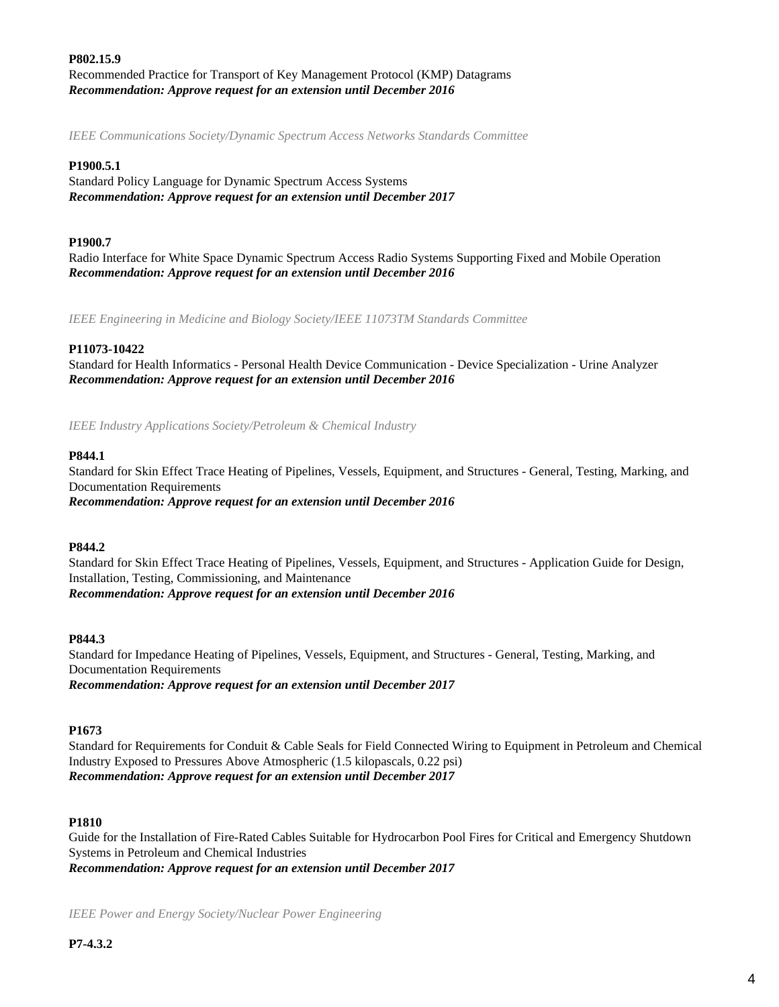## **P802.15.9** Recommended Practice for Transport of Key Management Protocol (KMP) Datagrams *Recommendation: Approve request for an extension until December 2016*

*IEEE Communications Society/Dynamic Spectrum Access Networks Standards Committee*

## **P1900.5.1**

Standard Policy Language for Dynamic Spectrum Access Systems *Recommendation: Approve request for an extension until December 2017*

#### **P1900.7**

Radio Interface for White Space Dynamic Spectrum Access Radio Systems Supporting Fixed and Mobile Operation *Recommendation: Approve request for an extension until December 2016*

*IEEE Engineering in Medicine and Biology Society/IEEE 11073TM Standards Committee*

## **P11073-10422**

Standard for Health Informatics - Personal Health Device Communication - Device Specialization - Urine Analyzer *Recommendation: Approve request for an extension until December 2016*

*IEEE Industry Applications Society/Petroleum & Chemical Industry*

#### **P844.1**

Standard for Skin Effect Trace Heating of Pipelines, Vessels, Equipment, and Structures - General, Testing, Marking, and Documentation Requirements

*Recommendation: Approve request for an extension until December 2016*

#### **P844.2**

Standard for Skin Effect Trace Heating of Pipelines, Vessels, Equipment, and Structures - Application Guide for Design, Installation, Testing, Commissioning, and Maintenance *Recommendation: Approve request for an extension until December 2016*

#### **P844.3**

Standard for Impedance Heating of Pipelines, Vessels, Equipment, and Structures - General, Testing, Marking, and Documentation Requirements *Recommendation: Approve request for an extension until December 2017*

#### **P1673**

Standard for Requirements for Conduit & Cable Seals for Field Connected Wiring to Equipment in Petroleum and Chemical Industry Exposed to Pressures Above Atmospheric (1.5 kilopascals, 0.22 psi) *Recommendation: Approve request for an extension until December 2017*

#### **P1810**

Guide for the Installation of Fire-Rated Cables Suitable for Hydrocarbon Pool Fires for Critical and Emergency Shutdown Systems in Petroleum and Chemical Industries *Recommendation: Approve request for an extension until December 2017*

*IEEE Power and Energy Society/Nuclear Power Engineering*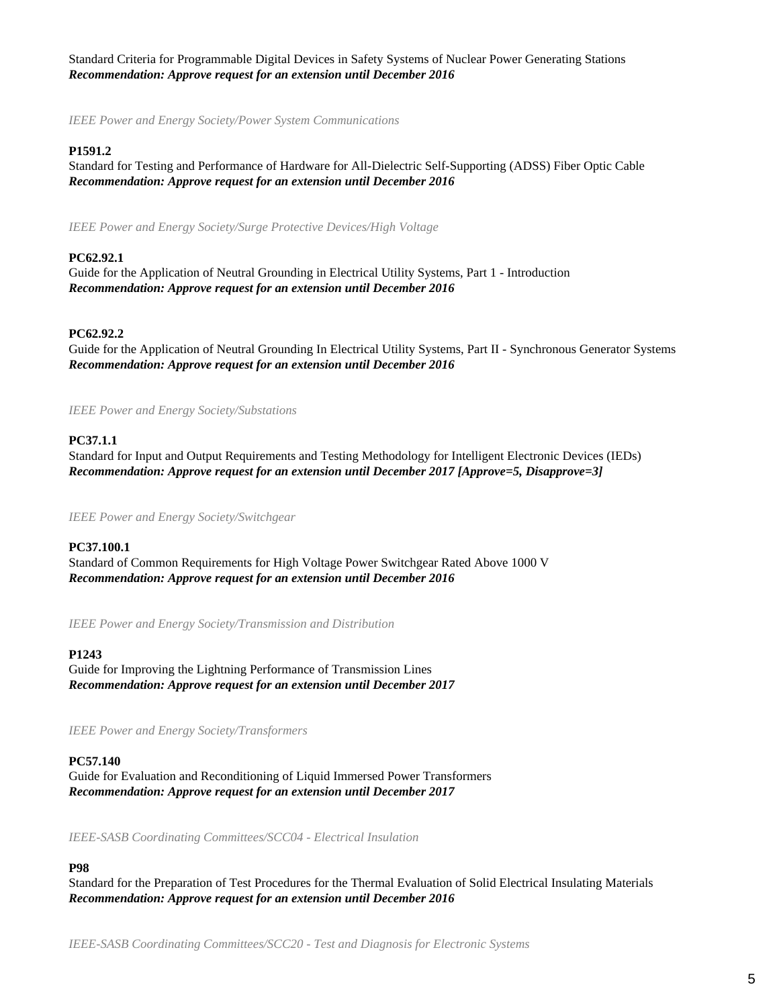Standard Criteria for Programmable Digital Devices in Safety Systems of Nuclear Power Generating Stations *Recommendation: Approve request for an extension until December 2016*

*IEEE Power and Energy Society/Power System Communications*

## **P1591.2**

Standard for Testing and Performance of Hardware for All-Dielectric Self-Supporting (ADSS) Fiber Optic Cable *Recommendation: Approve request for an extension until December 2016*

*IEEE Power and Energy Society/Surge Protective Devices/High Voltage*

## **PC62.92.1**

Guide for the Application of Neutral Grounding in Electrical Utility Systems, Part 1 - Introduction *Recommendation: Approve request for an extension until December 2016*

#### **PC62.92.2**

Guide for the Application of Neutral Grounding In Electrical Utility Systems, Part II - Synchronous Generator Systems *Recommendation: Approve request for an extension until December 2016*

*IEEE Power and Energy Society/Substations*

## **PC37.1.1**

Standard for Input and Output Requirements and Testing Methodology for Intelligent Electronic Devices (IEDs) *Recommendation: Approve request for an extension until December 2017 [Approve=5, Disapprove=3]*

*IEEE Power and Energy Society/Switchgear*

#### **PC37.100.1**

Standard of Common Requirements for High Voltage Power Switchgear Rated Above 1000 V *Recommendation: Approve request for an extension until December 2016*

*IEEE Power and Energy Society/Transmission and Distribution*

#### **P1243**

Guide for Improving the Lightning Performance of Transmission Lines *Recommendation: Approve request for an extension until December 2017*

*IEEE Power and Energy Society/Transformers*

#### **PC57.140**

Guide for Evaluation and Reconditioning of Liquid Immersed Power Transformers *Recommendation: Approve request for an extension until December 2017*

*IEEE-SASB Coordinating Committees/SCC04 - Electrical Insulation*

## **P98**

Standard for the Preparation of Test Procedures for the Thermal Evaluation of Solid Electrical Insulating Materials *Recommendation: Approve request for an extension until December 2016*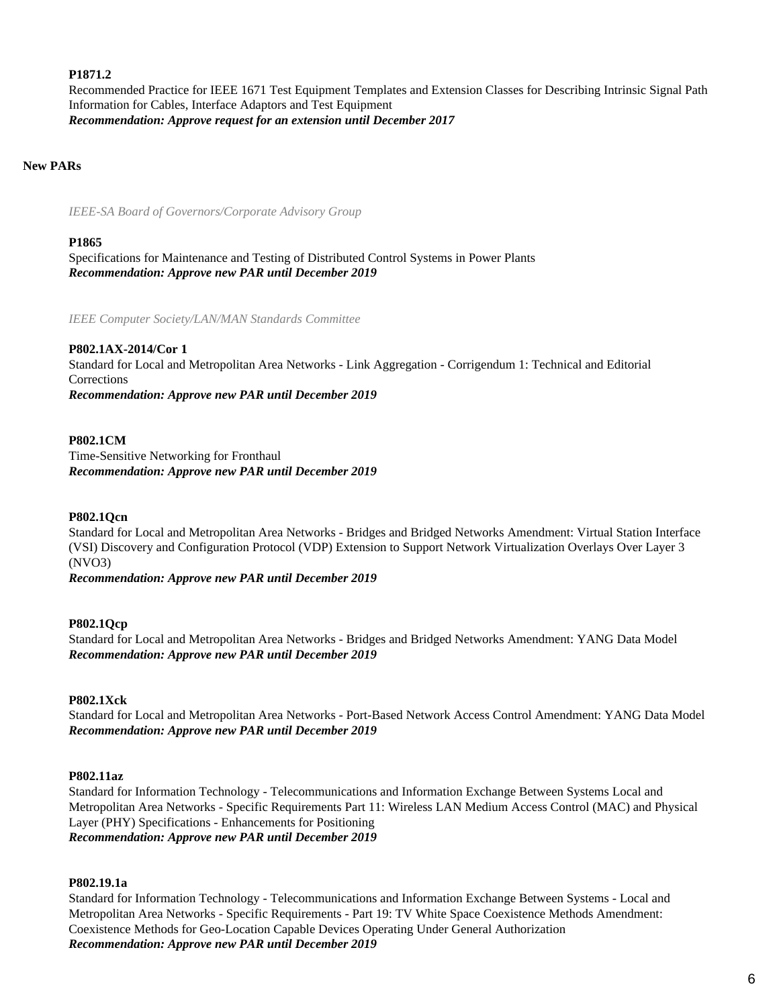## **P1871.2**

Recommended Practice for IEEE 1671 Test Equipment Templates and Extension Classes for Describing Intrinsic Signal Path Information for Cables, Interface Adaptors and Test Equipment *Recommendation: Approve request for an extension until December 2017*

## **New PARs**

*IEEE-SA Board of Governors/Corporate Advisory Group*

#### **P1865**

Specifications for Maintenance and Testing of Distributed Control Systems in Power Plants *Recommendation: Approve new PAR until December 2019*

*IEEE Computer Society/LAN/MAN Standards Committee*

## **P802.1AX-2014/Cor 1**

Standard for Local and Metropolitan Area Networks - Link Aggregation - Corrigendum 1: Technical and Editorial **Corrections** *Recommendation: Approve new PAR until December 2019*

#### **P802.1CM**

Time-Sensitive Networking for Fronthaul *Recommendation: Approve new PAR until December 2019*

#### **P802.1Qcn**

Standard for Local and Metropolitan Area Networks - Bridges and Bridged Networks Amendment: Virtual Station Interface (VSI) Discovery and Configuration Protocol (VDP) Extension to Support Network Virtualization Overlays Over Layer 3 (NVO3)

*Recommendation: Approve new PAR until December 2019*

#### **P802.1Qcp**

Standard for Local and Metropolitan Area Networks - Bridges and Bridged Networks Amendment: YANG Data Model *Recommendation: Approve new PAR until December 2019*

## **P802.1Xck**

Standard for Local and Metropolitan Area Networks - Port-Based Network Access Control Amendment: YANG Data Model *Recommendation: Approve new PAR until December 2019*

#### **P802.11az**

Standard for Information Technology - Telecommunications and Information Exchange Between Systems Local and Metropolitan Area Networks - Specific Requirements Part 11: Wireless LAN Medium Access Control (MAC) and Physical Layer (PHY) Specifications - Enhancements for Positioning *Recommendation: Approve new PAR until December 2019*

#### **P802.19.1a**

Standard for Information Technology - Telecommunications and Information Exchange Between Systems - Local and Metropolitan Area Networks - Specific Requirements - Part 19: TV White Space Coexistence Methods Amendment: Coexistence Methods for Geo-Location Capable Devices Operating Under General Authorization *Recommendation: Approve new PAR until December 2019*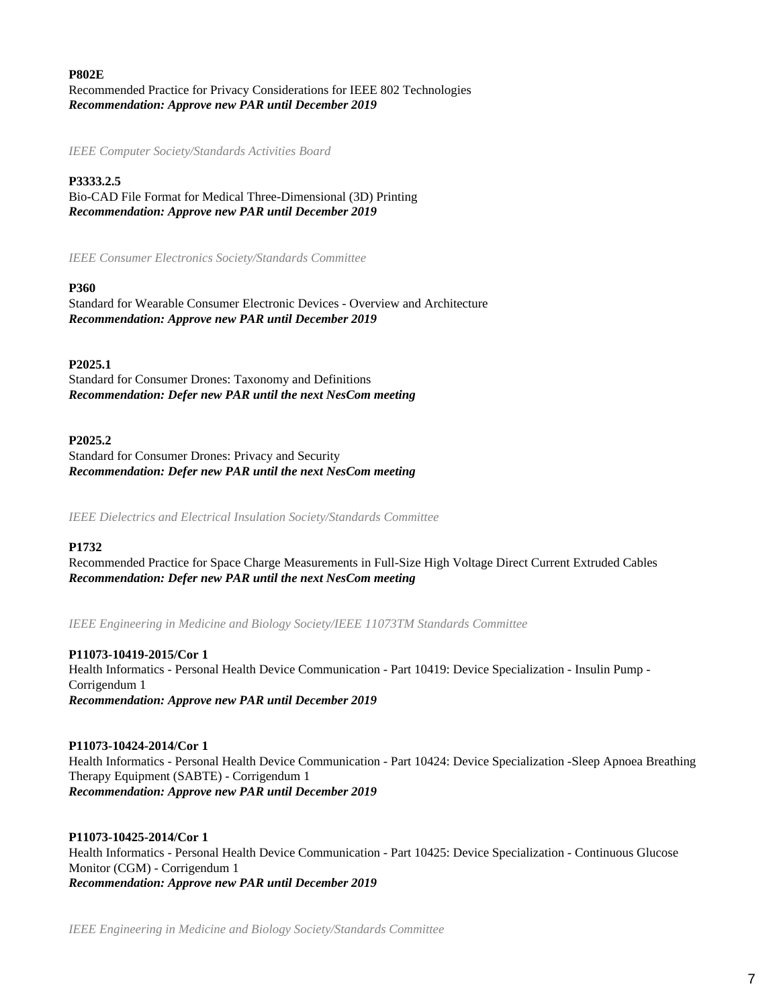## **P802E**

Recommended Practice for Privacy Considerations for IEEE 802 Technologies *Recommendation: Approve new PAR until December 2019*

*IEEE Computer Society/Standards Activities Board*

## **P3333.2.5**

Bio-CAD File Format for Medical Three-Dimensional (3D) Printing *Recommendation: Approve new PAR until December 2019*

*IEEE Consumer Electronics Society/Standards Committee*

#### **P360**

Standard for Wearable Consumer Electronic Devices - Overview and Architecture *Recommendation: Approve new PAR until December 2019*

## **P2025.1**

Standard for Consumer Drones: Taxonomy and Definitions *Recommendation: Defer new PAR until the next NesCom meeting*

## **P2025.2**

Standard for Consumer Drones: Privacy and Security *Recommendation: Defer new PAR until the next NesCom meeting*

*IEEE Dielectrics and Electrical Insulation Society/Standards Committee*

#### **P1732**

Recommended Practice for Space Charge Measurements in Full-Size High Voltage Direct Current Extruded Cables *Recommendation: Defer new PAR until the next NesCom meeting*

*IEEE Engineering in Medicine and Biology Society/IEEE 11073TM Standards Committee*

**P11073-10419-2015/Cor 1** Health Informatics - Personal Health Device Communication - Part 10419: Device Specialization - Insulin Pump - Corrigendum 1 *Recommendation: Approve new PAR until December 2019*

#### **P11073-10424-2014/Cor 1**

Health Informatics - Personal Health Device Communication - Part 10424: Device Specialization -Sleep Apnoea Breathing Therapy Equipment (SABTE) - Corrigendum 1 *Recommendation: Approve new PAR until December 2019*

#### **P11073-10425-2014/Cor 1**

Health Informatics - Personal Health Device Communication - Part 10425: Device Specialization - Continuous Glucose Monitor (CGM) - Corrigendum 1 *Recommendation: Approve new PAR until December 2019*

*IEEE Engineering in Medicine and Biology Society/Standards Committee*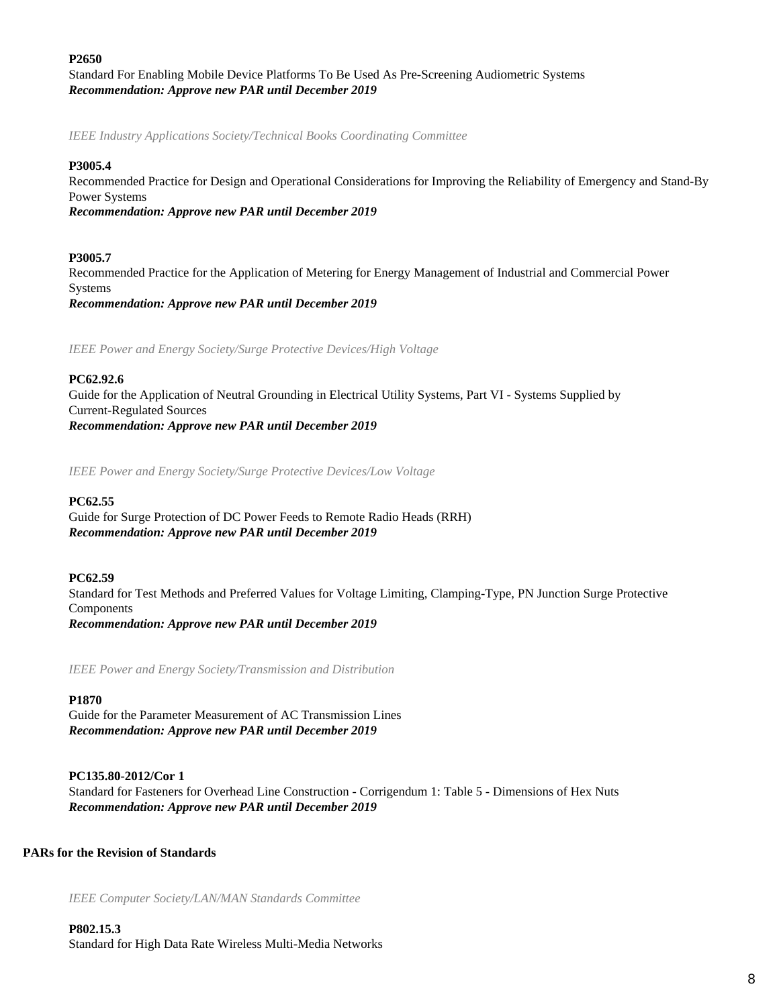## **P2650**

Standard For Enabling Mobile Device Platforms To Be Used As Pre-Screening Audiometric Systems *Recommendation: Approve new PAR until December 2019*

*IEEE Industry Applications Society/Technical Books Coordinating Committee*

#### **P3005.4**

Recommended Practice for Design and Operational Considerations for Improving the Reliability of Emergency and Stand-By Power Systems *Recommendation: Approve new PAR until December 2019*

## **P3005.7**

Recommended Practice for the Application of Metering for Energy Management of Industrial and Commercial Power Systems *Recommendation: Approve new PAR until December 2019*

*IEEE Power and Energy Society/Surge Protective Devices/High Voltage*

## **PC62.92.6**

Guide for the Application of Neutral Grounding in Electrical Utility Systems, Part VI - Systems Supplied by Current-Regulated Sources *Recommendation: Approve new PAR until December 2019*

*IEEE Power and Energy Society/Surge Protective Devices/Low Voltage*

## **PC62.55**

Guide for Surge Protection of DC Power Feeds to Remote Radio Heads (RRH) *Recommendation: Approve new PAR until December 2019*

#### **PC62.59**

Standard for Test Methods and Preferred Values for Voltage Limiting, Clamping-Type, PN Junction Surge Protective Components *Recommendation: Approve new PAR until December 2019*

*IEEE Power and Energy Society/Transmission and Distribution*

#### **P1870**

Guide for the Parameter Measurement of AC Transmission Lines *Recommendation: Approve new PAR until December 2019*

## **PC135.80-2012/Cor 1**

Standard for Fasteners for Overhead Line Construction - Corrigendum 1: Table 5 - Dimensions of Hex Nuts *Recommendation: Approve new PAR until December 2019*

## **PARs for the Revision of Standards**

*IEEE Computer Society/LAN/MAN Standards Committee*

**P802.15.3** Standard for High Data Rate Wireless Multi-Media Networks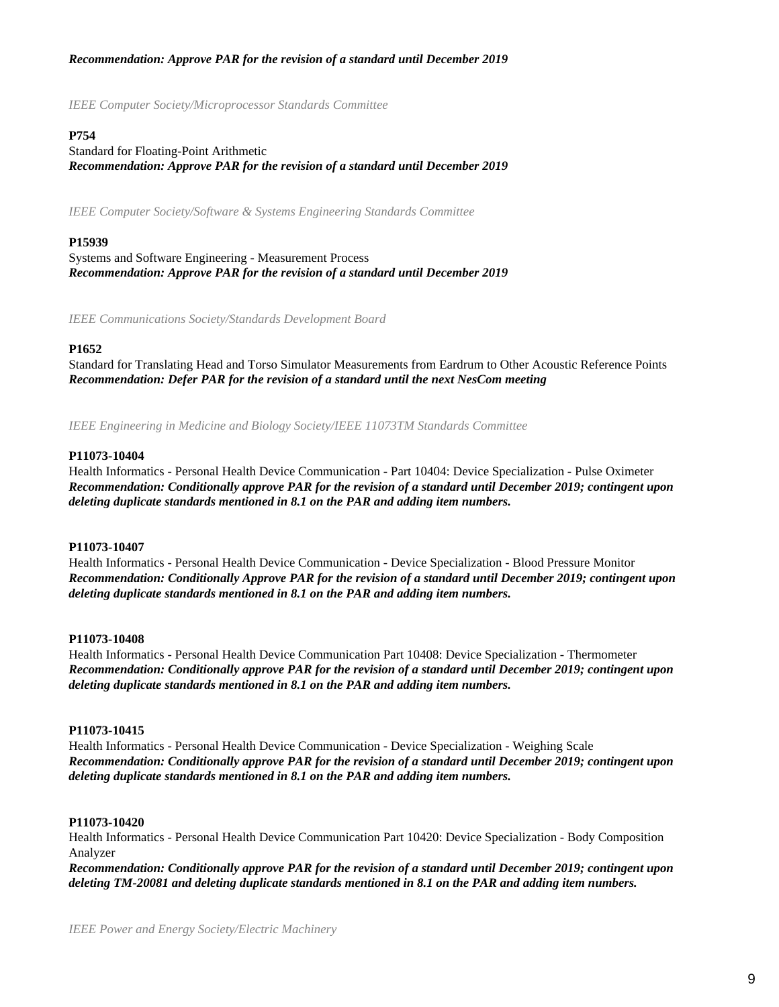## *Recommendation: Approve PAR for the revision of a standard until December 2019*

*IEEE Computer Society/Microprocessor Standards Committee*

## **P754**

Standard for Floating-Point Arithmetic *Recommendation: Approve PAR for the revision of a standard until December 2019*

*IEEE Computer Society/Software & Systems Engineering Standards Committee*

## **P15939**

Systems and Software Engineering - Measurement Process *Recommendation: Approve PAR for the revision of a standard until December 2019*

*IEEE Communications Society/Standards Development Board*

#### **P1652**

Standard for Translating Head and Torso Simulator Measurements from Eardrum to Other Acoustic Reference Points *Recommendation: Defer PAR for the revision of a standard until the next NesCom meeting*

*IEEE Engineering in Medicine and Biology Society/IEEE 11073TM Standards Committee*

#### **P11073-10404**

Health Informatics - Personal Health Device Communication - Part 10404: Device Specialization - Pulse Oximeter *Recommendation: Conditionally approve PAR for the revision of a standard until December 2019; contingent upon deleting duplicate standards mentioned in 8.1 on the PAR and adding item numbers.*

#### **P11073-10407**

Health Informatics - Personal Health Device Communication - Device Specialization - Blood Pressure Monitor *Recommendation: Conditionally Approve PAR for the revision of a standard until December 2019; contingent upon deleting duplicate standards mentioned in 8.1 on the PAR and adding item numbers.*

#### **P11073-10408**

Health Informatics - Personal Health Device Communication Part 10408: Device Specialization - Thermometer *Recommendation: Conditionally approve PAR for the revision of a standard until December 2019; contingent upon deleting duplicate standards mentioned in 8.1 on the PAR and adding item numbers.*

#### **P11073-10415**

Health Informatics - Personal Health Device Communication - Device Specialization - Weighing Scale *Recommendation: Conditionally approve PAR for the revision of a standard until December 2019; contingent upon deleting duplicate standards mentioned in 8.1 on the PAR and adding item numbers.*

#### **P11073-10420**

Health Informatics - Personal Health Device Communication Part 10420: Device Specialization - Body Composition Analyzer

*Recommendation: Conditionally approve PAR for the revision of a standard until December 2019; contingent upon deleting TM-20081 and deleting duplicate standards mentioned in 8.1 on the PAR and adding item numbers.*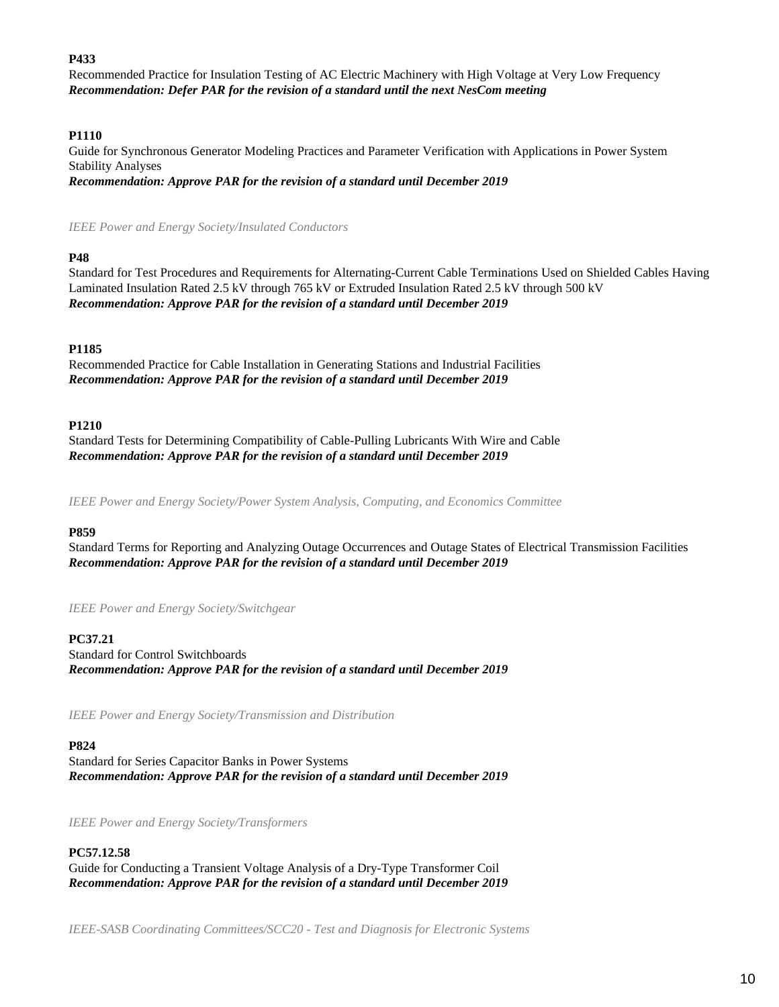## **P433**

Recommended Practice for Insulation Testing of AC Electric Machinery with High Voltage at Very Low Frequency *Recommendation: Defer PAR for the revision of a standard until the next NesCom meeting*

## **P1110**

Guide for Synchronous Generator Modeling Practices and Parameter Verification with Applications in Power System Stability Analyses *Recommendation: Approve PAR for the revision of a standard until December 2019*

*IEEE Power and Energy Society/Insulated Conductors*

## **P48**

Standard for Test Procedures and Requirements for Alternating-Current Cable Terminations Used on Shielded Cables Having Laminated Insulation Rated 2.5 kV through 765 kV or Extruded Insulation Rated 2.5 kV through 500 kV *Recommendation: Approve PAR for the revision of a standard until December 2019*

## **P1185**

Recommended Practice for Cable Installation in Generating Stations and Industrial Facilities *Recommendation: Approve PAR for the revision of a standard until December 2019*

## **P1210**

Standard Tests for Determining Compatibility of Cable-Pulling Lubricants With Wire and Cable *Recommendation: Approve PAR for the revision of a standard until December 2019*

*IEEE Power and Energy Society/Power System Analysis, Computing, and Economics Committee*

#### **P859**

Standard Terms for Reporting and Analyzing Outage Occurrences and Outage States of Electrical Transmission Facilities *Recommendation: Approve PAR for the revision of a standard until December 2019*

*IEEE Power and Energy Society/Switchgear*

## **PC37.21**

Standard for Control Switchboards *Recommendation: Approve PAR for the revision of a standard until December 2019*

*IEEE Power and Energy Society/Transmission and Distribution*

#### **P824**

Standard for Series Capacitor Banks in Power Systems *Recommendation: Approve PAR for the revision of a standard until December 2019*

*IEEE Power and Energy Society/Transformers*

## **PC57.12.58**

Guide for Conducting a Transient Voltage Analysis of a Dry-Type Transformer Coil *Recommendation: Approve PAR for the revision of a standard until December 2019*

*IEEE-SASB Coordinating Committees/SCC20 - Test and Diagnosis for Electronic Systems*